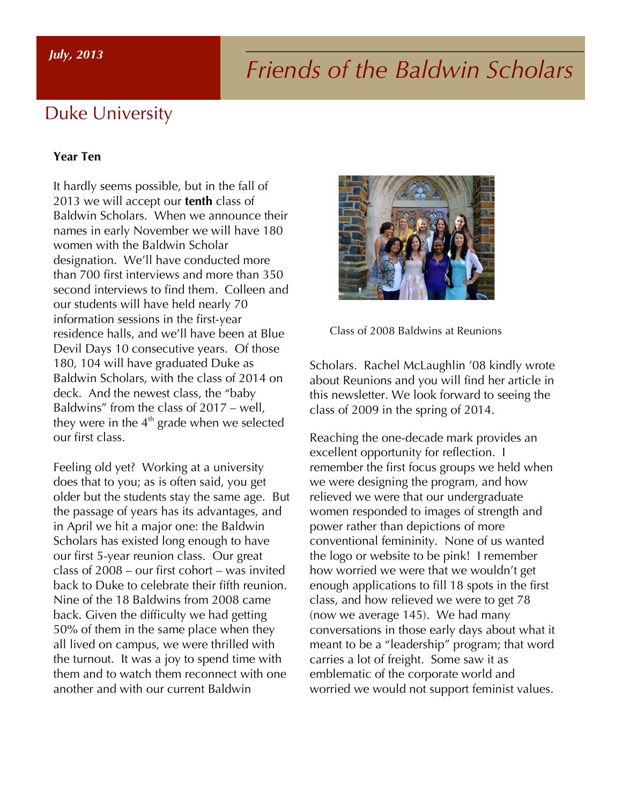# *Friends of the Baldwin Scholars July, 2013*

#### Duke University

#### **Year Ten**

It hardly seems possible, but in the fall of 2013 we will accept our **tenth** class of Baldwin Scholars. When we announce their names in early November we will have 180 women with the Baldwin Scholar designation. We'll have conducted more than 700 first interviews and more than 350 second interviews to find them. Colleen and our students will have held nearly 70 information sessions in the first-year residence halls, and we'll have been at Blue Devil Days 10 consecutive years. Of those 180, 104 will have graduated Duke as Baldwin Scholars, with the class of 2014 on deck. And the newest class, the "baby Baldwins" from the class of 2017 – well, they were in the  $4<sup>th</sup>$  grade when we selected our first class.

Feeling old yet? Working at a university does that to you; as is often said, you get older but the students stay the same age. But the passage of years has its advantages, and in April we hit a major one: the Baldwin Scholars has existed long enough to have our first 5-year reunion class. Our great class of 2008 – our first cohort – was invited back to Duke to celebrate their fifth reunion. Nine of the 18 Baldwins from 2008 came back. Given the difficulty we had getting 50% of them in the same place when they all lived on campus, we were thrilled with the turnout. It was a joy to spend time with them and to watch them reconnect with one another and with our current Baldwin



Class of 2008 Baldwins at Reunions

Scholars. Rachel McLaughlin '08 kindly wrote about Reunions and you will find her article in this newsletter. We look forward to seeing the class of 2009 in the spring of 2014.

Reaching the one-decade mark provides an excellent opportunity for reflection. I remember the first focus groups we held when we were designing the program, and how relieved we were that our undergraduate women responded to images of strength and power rather than depictions of more conventional femininity. None of us wanted the logo or website to be pink! I remember how worried we were that we wouldn't get enough applications to fill 18 spots in the first class, and how relieved we were to get 78 (now we average 145). We had many conversations in those early days about what it meant to be a "leadership" program; that word carries a lot of freight. Some saw it as emblematic of the corporate world and worried we would not support feminist values.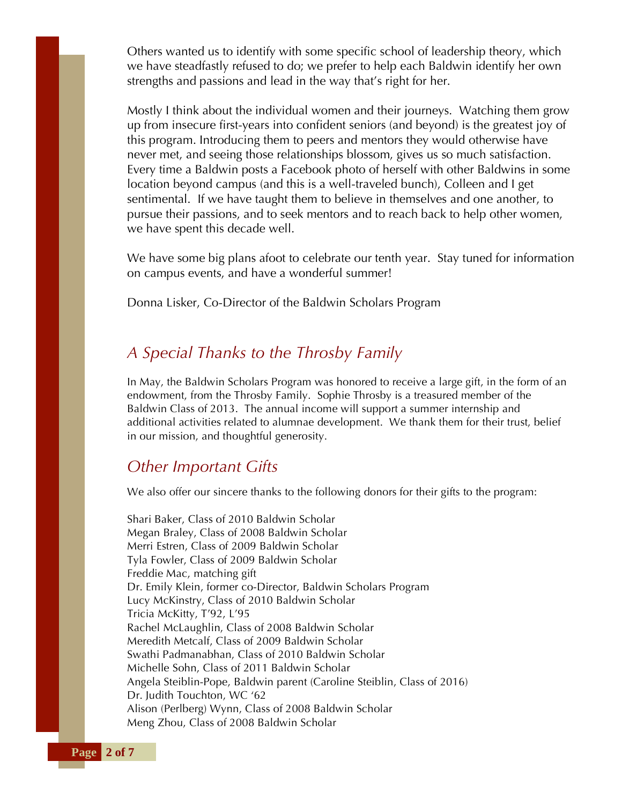Others wanted us to identify with some specific school of leadership theory, which we have steadfastly refused to do; we prefer to help each Baldwin identify her own strengths and passions and lead in the way that's right for her.

Mostly I think about the individual women and their journeys. Watching them grow up from insecure first-years into confident seniors (and beyond) is the greatest joy of this program. Introducing them to peers and mentors they would otherwise have never met, and seeing those relationships blossom, gives us so much satisfaction. Every time a Baldwin posts a Facebook photo of herself with other Baldwins in some location beyond campus (and this is a well-traveled bunch), Colleen and I get sentimental. If we have taught them to believe in themselves and one another, to pursue their passions, and to seek mentors and to reach back to help other women, we have spent this decade well.

We have some big plans afoot to celebrate our tenth year. Stay tuned for information on campus events, and have a wonderful summer!

Donna Lisker, Co-Director of the Baldwin Scholars Program

#### *A Special Thanks to the Throsby Family*

In May, the Baldwin Scholars Program was honored to receive a large gift, in the form of an endowment, from the Throsby Family. Sophie Throsby is a treasured member of the Baldwin Class of 2013. The annual income will support a summer internship and additional activities related to alumnae development. We thank them for their trust, belief in our mission, and thoughtful generosity.

#### *Other Important Gifts*

We also offer our sincere thanks to the following donors for their gifts to the program:

Shari Baker, Class of 2010 Baldwin Scholar Megan Braley, Class of 2008 Baldwin Scholar Merri Estren, Class of 2009 Baldwin Scholar Tyla Fowler, Class of 2009 Baldwin Scholar Freddie Mac, matching gift Dr. Emily Klein, former co-Director, Baldwin Scholars Program Lucy McKinstry, Class of 2010 Baldwin Scholar Tricia McKitty, T'92, L'95 Rachel McLaughlin, Class of 2008 Baldwin Scholar Meredith Metcalf, Class of 2009 Baldwin Scholar Swathi Padmanabhan, Class of 2010 Baldwin Scholar Michelle Sohn, Class of 2011 Baldwin Scholar Angela Steiblin-Pope, Baldwin parent (Caroline Steiblin, Class of 2016) Dr. Judith Touchton, WC '62 Alison (Perlberg) Wynn, Class of 2008 Baldwin Scholar Meng Zhou, Class of 2008 Baldwin Scholar

**Page 2 of 7**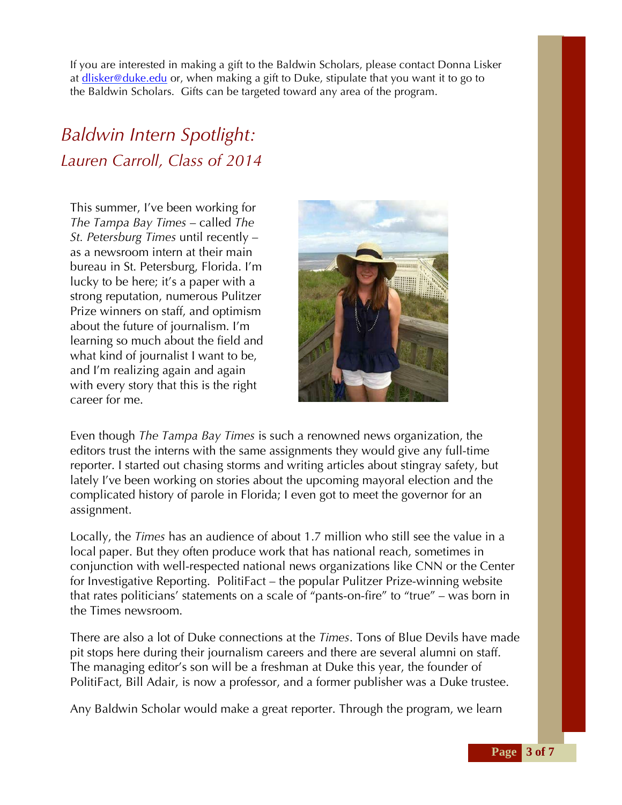If you are interested in making a gift to the Baldwin Scholars, please contact Donna Lisker at dlisker@duke.edu or, when making a gift to Duke, stipulate that you want it to go to the Baldwin Scholars. Gifts can be targeted toward any area of the program.

# *Baldwin Intern Spotlight: Lauren Carroll, Class of 2014*

This summer, I've been working for *The Tampa Bay Times* – called *The St. Petersburg Times* until recently – as a newsroom intern at their main bureau in St. Petersburg, Florida. I'm lucky to be here; it's a paper with a strong reputation, numerous Pulitzer Prize winners on staff, and optimism about the future of journalism. I'm learning so much about the field and what kind of journalist I want to be, and I'm realizing again and again with every story that this is the right career for me.



Even though *The Tampa Bay Times* is such a renowned news organization, the editors trust the interns with the same assignments they would give any full-time reporter. I started out chasing storms and writing articles about stingray safety, but lately I've been working on stories about the upcoming mayoral election and the complicated history of parole in Florida; I even got to meet the governor for an assignment.

Locally, the *Times* has an audience of about 1.7 million who still see the value in a local paper. But they often produce work that has national reach, sometimes in conjunction with well-respected national news organizations like CNN or the Center for Investigative Reporting. PolitiFact – the popular Pulitzer Prize-winning website that rates politicians' statements on a scale of "pants-on-fire" to "true" – was born in the Times newsroom.

There are also a lot of Duke connections at the *Times*. Tons of Blue Devils have made pit stops here during their journalism careers and there are several alumni on staff. The managing editor's son will be a freshman at Duke this year, the founder of PolitiFact, Bill Adair, is now a professor, and a former publisher was a Duke trustee.

Any Baldwin Scholar would make a great reporter. Through the program, we learn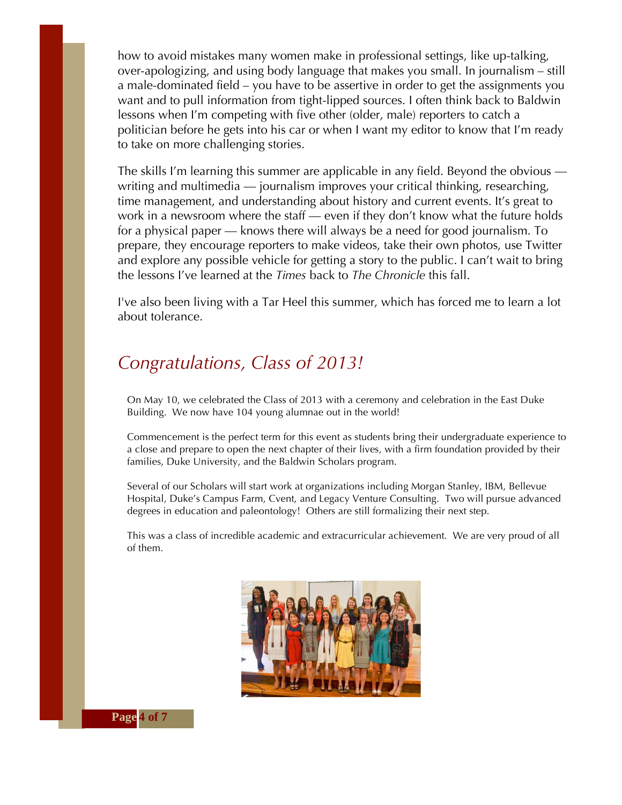how to avoid mistakes many women make in professional settings, like up-talking, over-apologizing, and using body language that makes you small. In journalism – still a male-dominated field – you have to be assertive in order to get the assignments you want and to pull information from tight-lipped sources. I often think back to Baldwin lessons when I'm competing with five other (older, male) reporters to catch a politician before he gets into his car or when I want my editor to know that I'm ready to take on more challenging stories.

The skills I'm learning this summer are applicable in any field. Beyond the obvious writing and multimedia — journalism improves your critical thinking, researching, time management, and understanding about history and current events. It's great to work in a newsroom where the staff — even if they don't know what the future holds for a physical paper — knows there will always be a need for good journalism. To prepare, they encourage reporters to make videos, take their own photos, use Twitter and explore any possible vehicle for getting a story to the public. I can't wait to bring the lessons I've learned at the *Times* back to *The Chronicle* this fall.

I've also been living with a Tar Heel this summer, which has forced me to learn a lot about tolerance.

## *Congratulations, Class of 2013!*

On May 10, we celebrated the Class of 2013 with a ceremony and celebration in the East Duke Building. We now have 104 young alumnae out in the world!

Commencement is the perfect term for this event as students bring their undergraduate experience to a close and prepare to open the next chapter of their lives, with a firm foundation provided by their families, Duke University, and the Baldwin Scholars program.

Several of our Scholars will start work at organizations including Morgan Stanley, IBM, Bellevue Hospital, Duke's Campus Farm, Cvent, and Legacy Venture Consulting. Two will pursue advanced degrees in education and paleontology! Others are still formalizing their next step.

This was a class of incredible academic and extracurricular achievement. We are very proud of all of them.

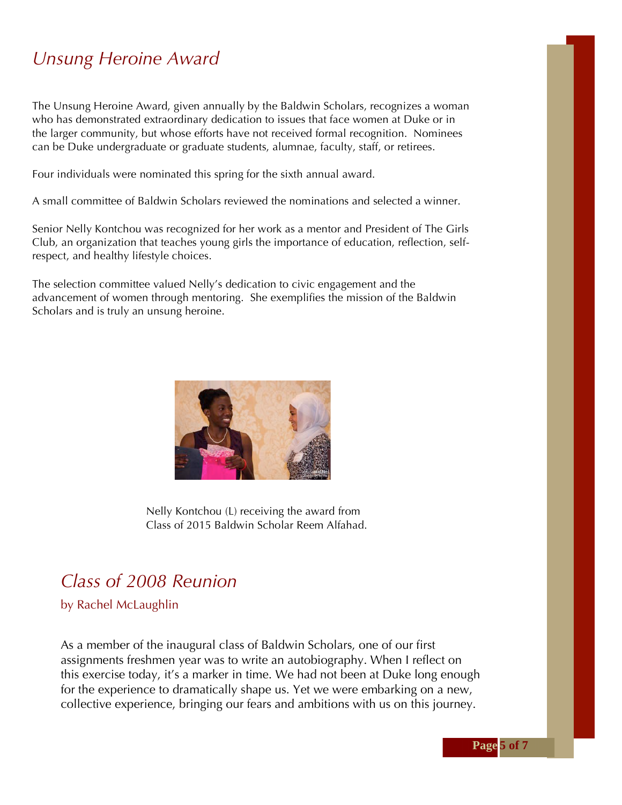## *Unsung Heroine Award*

The Unsung Heroine Award, given annually by the Baldwin Scholars, recognizes a woman who has demonstrated extraordinary dedication to issues that face women at Duke or in the larger community, but whose efforts have not received formal recognition. Nominees can be Duke undergraduate or graduate students, alumnae, faculty, staff, or retirees.

Four individuals were nominated this spring for the sixth annual award.

A small committee of Baldwin Scholars reviewed the nominations and selected a winner.

Senior Nelly Kontchou was recognized for her work as a mentor and President of The Girls Club, an organization that teaches young girls the importance of education, reflection, selfrespect, and healthy lifestyle choices.

The selection committee valued Nelly's dedication to civic engagement and the advancement of women through mentoring. She exemplifies the mission of the Baldwin Scholars and is truly an unsung heroine.



Nelly Kontchou (L) receiving the award from Class of 2015 Baldwin Scholar Reem Alfahad.

#### *Class of 2008 Reunion*

by Rachel McLaughlin

As a member of the inaugural class of Baldwin Scholars, one of our first assignments freshmen year was to write an autobiography. When I reflect on this exercise today, it's a marker in time. We had not been at Duke long enough for the experience to dramatically shape us. Yet we were embarking on a new, collective experience, bringing our fears and ambitions with us on this journey.

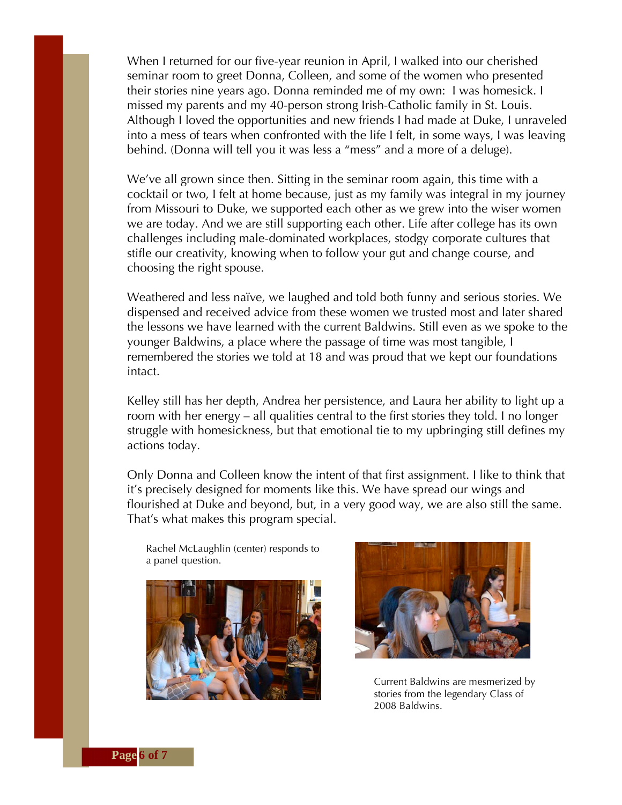When I returned for our five-year reunion in April, I walked into our cherished seminar room to greet Donna, Colleen, and some of the women who presented their stories nine years ago. Donna reminded me of my own: I was homesick. I missed my parents and my 40-person strong Irish-Catholic family in St. Louis. Although I loved the opportunities and new friends I had made at Duke, I unraveled into a mess of tears when confronted with the life I felt, in some ways, I was leaving behind. (Donna will tell you it was less a "mess" and a more of a deluge).

We've all grown since then. Sitting in the seminar room again, this time with a cocktail or two, I felt at home because, just as my family was integral in my journey from Missouri to Duke, we supported each other as we grew into the wiser women we are today. And we are still supporting each other. Life after college has its own challenges including male-dominated workplaces, stodgy corporate cultures that stifle our creativity, knowing when to follow your gut and change course, and choosing the right spouse.

Weathered and less naïve, we laughed and told both funny and serious stories. We dispensed and received advice from these women we trusted most and later shared the lessons we have learned with the current Baldwins. Still even as we spoke to the younger Baldwins, a place where the passage of time was most tangible, I remembered the stories we told at 18 and was proud that we kept our foundations intact.

Kelley still has her depth, Andrea her persistence, and Laura her ability to light up a room with her energy – all qualities central to the first stories they told. I no longer struggle with homesickness, but that emotional tie to my upbringing still defines my actions today.

Only Donna and Colleen know the intent of that first assignment. I like to think that it's precisely designed for moments like this. We have spread our wings and flourished at Duke and beyond, but, in a very good way, we are also still the same. That's what makes this program special.

Rachel McLaughlin (center) responds to a panel question.





Current Baldwins are mesmerized by stories from the legendary Class of 2008 Baldwins.